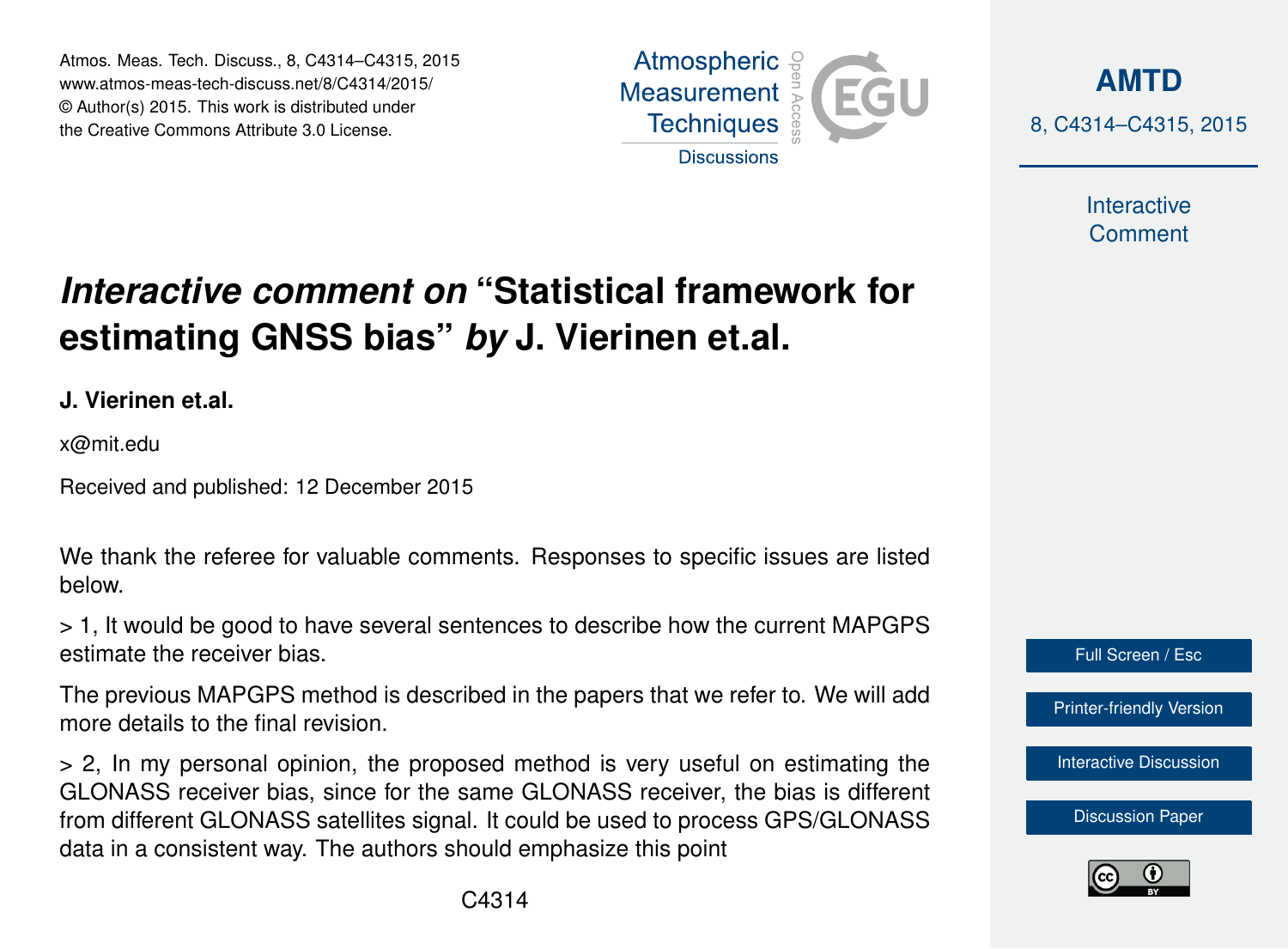Atmos. Meas. Tech. Discuss., 8, C4314–C4315, 2015 www.atmos-meas-tech-discuss.net/8/C4314/2015/ © Author(s) 2015. This work is distributed under the Creative Commons Attribute 3.0 License.





Interactive **Comment** 

## *Interactive comment on* **"Statistical framework for estimating GNSS bias"** *by* **J. Vierinen et.al.**

**J. Vierinen et.al.**

x@mit.edu

Received and published: 12 December 2015

We thank the referee for valuable comments. Responses to specific issues are listed below.

> 1, It would be good to have several sentences to describe how the current MAPGPS estimate the receiver bias.

The previous MAPGPS method is described in the papers that we refer to. We will add more details to the final revision.

> 2, In my personal opinion, the proposed method is very useful on estimating the GLONASS receiver bias, since for the same GLONASS receiver, the bias is different from different GLONASS satellites signal. It could be used to process GPS/GLONASS data in a consistent way. The authors should emphasize this point



[Discussion Paper](http://www.atmos-meas-tech-discuss.net/8/9373/2015/amtd-8-9373-2015.pdf)